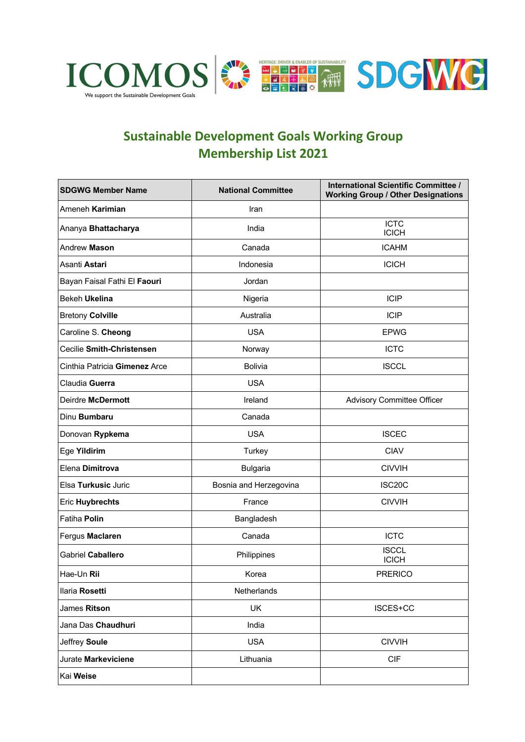

## **Sustainable Development Goals Working Group Membership List 2021**

| <b>SDGWG Member Name</b>      | <b>National Committee</b> | International Scientific Committee /<br><b>Working Group / Other Designations</b> |
|-------------------------------|---------------------------|-----------------------------------------------------------------------------------|
| Ameneh Karimian               | Iran                      |                                                                                   |
| Ananya Bhattacharya           | India                     | <b>ICTC</b><br><b>ICICH</b>                                                       |
| Andrew Mason                  | Canada                    | <b>ICAHM</b>                                                                      |
| Asanti Astari                 | Indonesia                 | <b>ICICH</b>                                                                      |
| Bayan Faisal Fathi El Faouri  | Jordan                    |                                                                                   |
| Bekeh Ukelina                 | Nigeria                   | <b>ICIP</b>                                                                       |
| <b>Bretony Colville</b>       | Australia                 | <b>ICIP</b>                                                                       |
| Caroline S. Cheong            | <b>USA</b>                | <b>EPWG</b>                                                                       |
| Cecilie Smith-Christensen     | Norway                    | <b>ICTC</b>                                                                       |
| Cinthia Patricia Gimenez Arce | Bolivia                   | <b>ISCCL</b>                                                                      |
| Claudia Guerra                | <b>USA</b>                |                                                                                   |
| Deirdre McDermott             | Ireland                   | <b>Advisory Committee Officer</b>                                                 |
| Dinu Bumbaru                  | Canada                    |                                                                                   |
| Donovan Rypkema               | <b>USA</b>                | <b>ISCEC</b>                                                                      |
| Ege Yildirim                  | Turkey                    | <b>CIAV</b>                                                                       |
| Elena Dimitrova               | <b>Bulgaria</b>           | <b>CIVVIH</b>                                                                     |
| Elsa Turkusic Juric           | Bosnia and Herzegovina    | ISC20C                                                                            |
| <b>Eric Huybrechts</b>        | France                    | <b>CIVVIH</b>                                                                     |
| Fatiha Polin                  | Bangladesh                |                                                                                   |
| Fergus Maclaren               | Canada                    | <b>ICTC</b>                                                                       |
| Gabriel Caballero             | Philippines               | <b>ISCCL</b><br><b>ICICH</b>                                                      |
| Hae-Un Rii                    | Korea                     | <b>PRERICO</b>                                                                    |
| Ilaria Rosetti                | Netherlands               |                                                                                   |
| James Ritson                  | UK                        | ISCES+CC                                                                          |
| Jana Das Chaudhuri            | India                     |                                                                                   |
| Jeffrey Soule                 | <b>USA</b>                | <b>CIVVIH</b>                                                                     |
| Jurate Markeviciene           | Lithuania                 | <b>CIF</b>                                                                        |
| Kai Weise                     |                           |                                                                                   |